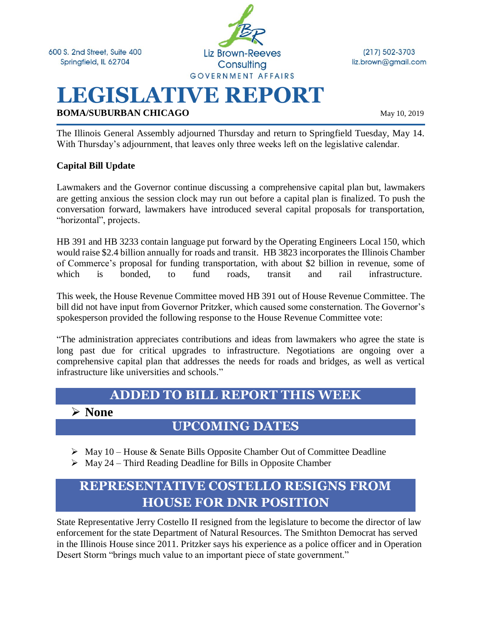

 $(217) 502 - 3703$ liz.brown@gmail.com

# **LEGISLATIVE REPORT**

**BOMA/SUBURBAN CHICAGO** May 10, 2019

The Illinois General Assembly adjourned Thursday and return to Springfield Tuesday, May 14. With Thursday's adjournment, that leaves only three weeks left on the legislative calendar.

### **Capital Bill Update**

Lawmakers and the Governor continue discussing a comprehensive capital plan but, lawmakers are getting anxious the session clock may run out before a capital plan is finalized. To push the conversation forward, lawmakers have introduced several capital proposals for transportation, "horizontal", projects.

HB 391 and HB 3233 contain language put forward by the Operating Engineers Local 150, which would raise \$2.4 billion annually for roads and transit. HB 3823 incorporates the Illinois Chamber of Commerce's proposal for funding transportation, with about \$2 billion in revenue, some of which is bonded, to fund roads, transit and rail infrastructure.

This week, the House Revenue Committee moved HB 391 out of House Revenue Committee. The bill did not have input from Governor Pritzker, which caused some consternation. The Governor's spokesperson provided the following response to the House Revenue Committee vote:

"The administration appreciates contributions and ideas from lawmakers who agree the state is long past due for critical upgrades to infrastructure. Negotiations are ongoing over a comprehensive capital plan that addresses the needs for roads and bridges, as well as vertical infrastructure like universities and schools."

### **ADDED TO BILL REPORT THIS WEEK**

➢ **None**

### **UPCOMING DATES**

- ➢ May 10 House & Senate Bills Opposite Chamber Out of Committee Deadline
- $\triangleright$  May 24 Third Reading Deadline for Bills in Opposite Chamber

## **REPRESENTATIVE COSTELLO RESIGNS FROM HOUSE FOR DNR POSITION**

State Representative Jerry Costello II resigned from the legislature to become the director of law enforcement for the state Department of Natural Resources. The Smithton Democrat has served in the Illinois House since 2011. Pritzker says his experience as a police officer and in Operation Desert Storm "brings much value to an important piece of state government."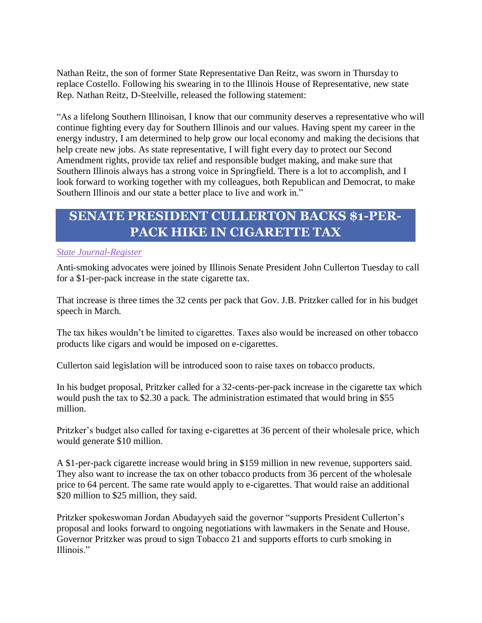Nathan Reitz, the son of former State Representative Dan Reitz, was sworn in Thursday to replace Costello. Following his swearing in to the Illinois House of Representative, new state Rep. Nathan Reitz, D-Steelville, released the following statement:

"As a lifelong Southern Illinoisan, I know that our community deserves a representative who will continue fighting every day for Southern Illinois and our values. Having spent my career in the energy industry, I am determined to help grow our local economy and making the decisions that help create new jobs. As state representative, I will fight every day to protect our Second Amendment rights, provide tax relief and responsible budget making, and make sure that Southern Illinois always has a strong voice in Springfield. There is a lot to accomplish, and I look forward to working together with my colleagues, both Republican and Democrat, to make Southern Illinois and our state a better place to live and work in."

### **SENATE PRESIDENT CULLERTON BACKS \$1-PER-PACK HIKE IN CIGARETTE TAX**

#### *[State Journal-Register](https://www.sj-r.com/news/20190507/senate-president-cullerton-backs-1-per-pack-hike-in-cigarette-tax)*

Anti-smoking advocates were joined by Illinois Senate President John Cullerton Tuesday to call for a \$1-per-pack increase in the state cigarette tax.

That increase is three times the 32 cents per pack that Gov. J.B. Pritzker called for in his budget speech in March.

The tax hikes wouldn't be limited to cigarettes. Taxes also would be increased on other tobacco products like cigars and would be imposed on e-cigarettes.

Cullerton said legislation will be introduced soon to raise taxes on tobacco products.

In his budget proposal, Pritzker called for a 32-cents-per-pack increase in the cigarette tax which would push the tax to \$2.30 a pack. The administration estimated that would bring in \$55 million.

Pritzker's budget also called for taxing e-cigarettes at 36 percent of their wholesale price, which would generate \$10 million.

A \$1-per-pack cigarette increase would bring in \$159 million in new revenue, supporters said. They also want to increase the tax on other tobacco products from 36 percent of the wholesale price to 64 percent. The same rate would apply to e-cigarettes. That would raise an additional \$20 million to \$25 million, they said.

Pritzker spokeswoman Jordan Abudayyeh said the governor "supports President Cullerton's proposal and looks forward to ongoing negotiations with lawmakers in the Senate and House. Governor Pritzker was proud to sign Tobacco 21 and supports efforts to curb smoking in Illinois."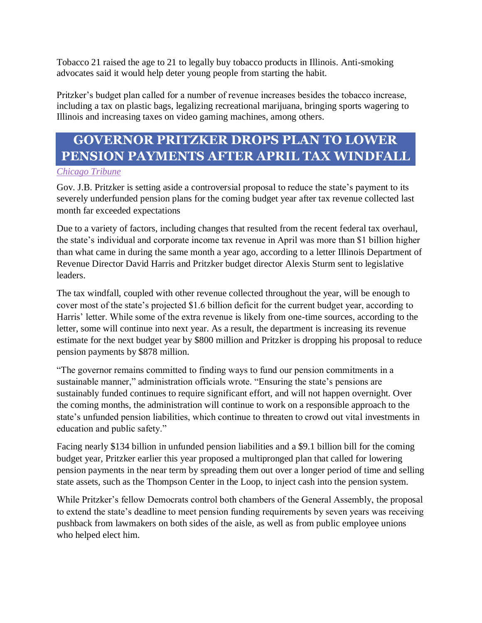Tobacco 21 raised the age to 21 to legally buy tobacco products in Illinois. Anti-smoking advocates said it would help deter young people from starting the habit.

Pritzker's budget plan called for a number of revenue increases besides the tobacco increase, including a tax on plastic bags, legalizing recreational marijuana, bringing sports wagering to Illinois and increasing taxes on video gaming machines, among others.

# **GOVERNOR PRITZKER DROPS PLAN TO LOWER PENSION PAYMENTS AFTER APRIL TAX WINDFALL**

#### *[Chicago Tribune](https://www.chicagotribune.com/politics/ct-met-jb-pritzker-pension-plan-20190507-story.html)*

Gov. J.B. Pritzker is setting aside a controversial proposal to reduce the state's payment to its severely underfunded pension plans for the coming budget year after tax revenue collected last month far exceeded expectations

Due to a variety of factors, including changes that resulted from the recent federal tax overhaul, the state's individual and corporate income tax revenue in April was more than \$1 billion higher than what came in during the same month a year ago, according to a letter Illinois Department of Revenue Director David Harris and Pritzker budget director Alexis Sturm sent to legislative leaders.

The tax windfall, coupled with other revenue collected throughout the year, will be enough to cover most of the state's projected \$1.6 billion deficit for the current budget year, according to Harris' letter. While some of the extra revenue is likely from one-time sources, according to the letter, some will continue into next year. As a result, the department is increasing its revenue estimate for the next budget year by \$800 million and Pritzker is dropping his proposal to reduce pension payments by \$878 million.

"The governor remains committed to finding ways to fund our pension commitments in a sustainable manner," administration officials wrote. "Ensuring the state's pensions are sustainably funded continues to require significant effort, and will not happen overnight. Over the coming months, the administration will continue to work on a responsible approach to the state's unfunded pension liabilities, which continue to threaten to crowd out vital investments in education and public safety."

Facing nearly \$134 billion in unfunded pension liabilities and a \$9.1 billion bill for the coming budget year, Pritzker earlier this year proposed a multipronged plan that called for lowering pension payments in the near term by spreading them out over a longer period of time and selling state assets, such as the Thompson Center in the Loop, to inject cash into the pension system.

While Pritzker's fellow Democrats control both chambers of the General Assembly, the proposal to extend the state's deadline to meet pension funding requirements by seven years was receiving pushback from lawmakers on both sides of the aisle, as well as from public employee unions who helped elect him.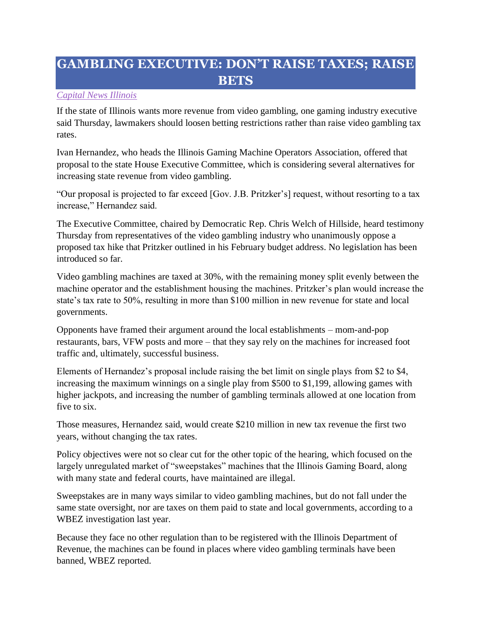## **GAMBLING EXECUTIVE: DON'T RAISE TAXES; RAISE BETS**

### *[Capital News Illinois](https://www.mysuburbanlife.com/2019/05/09/gambling-executive-dont-raise-taxes-raise-bets/ac25jj6/)*

If the state of Illinois wants more revenue from video gambling, one gaming industry executive said Thursday, lawmakers should loosen betting restrictions rather than raise video gambling tax rates.

Ivan Hernandez, who heads the Illinois Gaming Machine Operators Association, offered that proposal to the state House Executive Committee, which is considering several alternatives for increasing state revenue from video gambling.

"Our proposal is projected to far exceed [Gov. J.B. Pritzker's] request, without resorting to a tax increase," Hernandez said.

The Executive Committee, chaired by Democratic Rep. Chris Welch of Hillside, heard testimony Thursday from representatives of the video gambling industry who unanimously oppose a proposed tax hike that Pritzker outlined in his February budget address. No legislation has been introduced so far.

Video gambling machines are taxed at 30%, with the remaining money split evenly between the machine operator and the establishment housing the machines. Pritzker's plan would increase the state's tax rate to 50%, resulting in more than \$100 million in new revenue for state and local governments.

Opponents have framed their argument around the local establishments – mom-and-pop restaurants, bars, VFW posts and more – that they say rely on the machines for increased foot traffic and, ultimately, successful business.

Elements of Hernandez's proposal include raising the bet limit on single plays from \$2 to \$4, increasing the maximum winnings on a single play from \$500 to \$1,199, allowing games with higher jackpots, and increasing the number of gambling terminals allowed at one location from five to six.

Those measures, Hernandez said, would create \$210 million in new tax revenue the first two years, without changing the tax rates.

Policy objectives were not so clear cut for the other topic of the hearing, which focused on the largely unregulated market of "sweepstakes" machines that the Illinois Gaming Board, along with many state and federal courts, have maintained are illegal.

Sweepstakes are in many ways similar to video gambling machines, but do not fall under the same state oversight, nor are taxes on them paid to state and local governments, according to a WBEZ investigation last year.

Because they face no other regulation than to be registered with the Illinois Department of Revenue, the machines can be found in places where video gambling terminals have been banned, WBEZ reported.